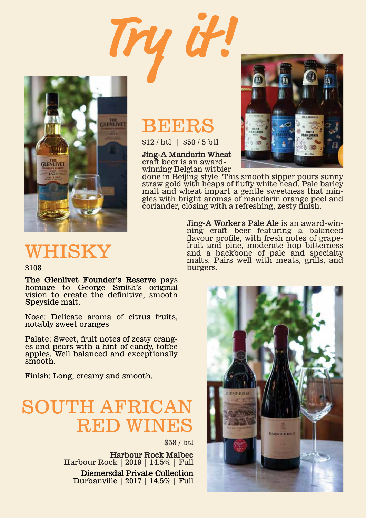

# **REERS**

**Try it!**

\$12 / btl | \$50 / 5 btl

**Jing-A Mandarin Wheat** craft beer is an awardwinning Belgian witbier

burgers.



done in Beijing style. This smooth sipper pours sunny straw gold with heaps of fluffy white head. Pale barley gles with bright aromas of mandarin orange peel and coriander, closing with a refreshing, zesty finish.

> **Jing-A Worker's Pale Ale** is an award-winning craft beer featuring a balanced flavour profile, with fresh notes of grapefruit and pine, moderate hop bitterness and a backbone of pale and specialty malts. Pairs well with meats, grills, and

WHISKY

#### \$108

**The Glenlivet Founder's Reserve** pays homage to George Smith's original vision to create the definitive, smooth Speyside malt.

Nose: Delicate aroma of citrus fruits, notably sweet oranges

Palate: Sweet, fruit notes of zesty oranges and pears with a hint of candy, toffee apples. Well balanced and exceptionally smooth.

Finish: Long, creamy and smooth.

# **SOUTH AFRIC** RED WINES

\$58 / btl

**Harbour Rock Malbec** Harbour Rock | 2019 | 14.5% | Full **Diemersdal Private Collection** Durbanville | 2017 | 14.5% | Full **JEMERSDAL HARBOUR ROCK**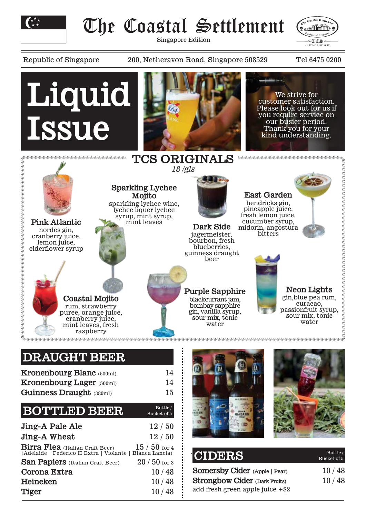

# The Coastal Settlement

Singapore Edition



Republic of Singapore 200, Netheravon Road, Singapore 508529 Tel 6475 0200



### **DRAUGHT BEER**

| <b>Kronenbourg Blanc</b> (500ml)<br><b>Kronenbourg Lager (500ml)</b><br>Guinness Draught (380ml)               | 14<br>14<br>15         |
|----------------------------------------------------------------------------------------------------------------|------------------------|
| <b>BOTTLED BEER</b>                                                                                            | Bottle/<br>Bucket of 5 |
| <b>Jing-A Pale Ale</b>                                                                                         | 12/50                  |
| Jing-A Wheat                                                                                                   | 12/50                  |
| <b>Birra Flea</b> (Italian Craft Beer) 15 / 50 for 4 (Adelaide   Federico II Extra   Violante   Bianca Lancia) | $15/50$ for 4          |
| San Papiers (Italian Craft Beer)                                                                               | $20/50$ for 3          |
| Corona Extra                                                                                                   | 10/48                  |
| Heineken                                                                                                       | 10/48                  |

**Tiger** 10 / 48



| <b>CIDERS</b>                        | Bottle/<br>Bucket of 5 |
|--------------------------------------|------------------------|
| Somersby Cider (Apple   Pear)        | 10/48                  |
| <b>Strongbow Cider (Dark Fruits)</b> | 10/48                  |
| add fresh green apple juice $+ $2$   |                        |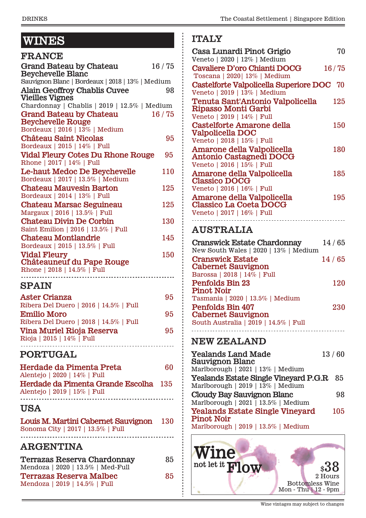# **WINES** Glass / Bottle **WINES**

| <b>FRANCE</b>                                                                 |       |
|-------------------------------------------------------------------------------|-------|
| <b>Grand Bateau by Chateau</b><br><b>Beychevelle Blanc</b>                    | 16/75 |
| Sauvignon Blanc   Bordeaux   2018   13%   Medium                              |       |
| <b>Alain Geoffroy Chablis Cuvee</b><br><b>Vieilles Vignes</b>                 | 98    |
| Chardonnay   Chablis   2019   12.5%   Medium                                  |       |
| <b>Grand Bateau by Chateau</b><br><b>Beychevelle Rouge</b>                    | 16/75 |
| Bordeaux   2016   13%   Medium                                                |       |
| <b>Château Saint Nicolas</b><br>Bordeaux   2015   14%   Full                  | 95    |
| <b>Vidal Fleury Cotes Du Rhone Rouge</b>                                      | 95    |
| Rhone   2017   14%   Full                                                     |       |
| Le-haut Medoc De Beychevelle<br>Bordeaux   2017   13.5%   Medium              | 110   |
| <b>Chateau Mauvesin Barton</b>                                                | 125   |
| Bordeaux   2014   13%   Full                                                  |       |
| <b>Chateau Marsac Seguineau</b><br>Margaux   2016   13.5%   Full              | 125   |
| <b>Chateau Divin De Corbin</b><br>Saint Emilion   2016   13.5%   Full         | 130   |
| <b>Chateau Montlandrie</b>                                                    | 145   |
| Bordeaux   2015   13.5%   Full                                                |       |
| <b>Vidal Fleury</b><br><b>Châteauneuf du Pape Rouge</b>                       | 150   |
| Rhone   2018   14.5%   Full                                                   |       |
| <b>SPAIN</b>                                                                  |       |
| <b>Aster Crianza</b>                                                          | 95    |
| Ribera Del Duero   2016   14.5%   Full                                        |       |
| <b>Emilio Moro</b>                                                            | 95    |
| $1.0010 + 1.070 + 1.01$<br>$D_{\text{obs}}$ $D_{\text{eff}}$ $D_{\text{obs}}$ |       |

| Ribera Del Duero   2018   14.5%   Full |    |
|----------------------------------------|----|
| Vina Muriel Rioja Reserva              | 95 |
| Rioja   2015   14%   Full              |    |
|                                        |    |

### **PORTUGAL**

| Herdade da Pimenta Preta              | 60 |
|---------------------------------------|----|
| Alentejo   2020   14%   Full          |    |
| Herdade da Pimenta Grande Escolha 135 |    |
| Alentejo   2019   15%   Full          |    |
|                                       |    |

#### **USA**

|                                   | Louis M. Martini Cabernet Sauvignon | <b>130</b> |
|-----------------------------------|-------------------------------------|------------|
| Sonoma City   2017   13.5%   Full |                                     |            |

### **ARGENTINA**

| Terrazas Reserva Chardonnay       | 85 |
|-----------------------------------|----|
| Mendoza   2020   13.5%   Med-Full |    |
| <b>Terrazas Reserva Malbec</b>    | 85 |
| Mendoza   2019   14.5%   Full     |    |

### **ITALY**

| Casa Lunardi Pinot Grigio<br>Veneto   2020   12% ] Medium                                                                         | 70    |
|-----------------------------------------------------------------------------------------------------------------------------------|-------|
| <b>Cavaliere D'oro Chianti DOCG</b><br>Toscana   2020   13%   Medium                                                              | 16/75 |
| Castelforte Valpolicella Superiore DOC<br>Veneto   2019   $13\%$   Medium                                                         | - 70  |
| Tenuta Sant'Antonio Valpolicella<br>Ripasso Monti Garbi<br>Veneto   2019   14%   Full                                             | 125   |
| <b>Castelforte Amarone della</b><br>Valpolicella DOC                                                                              | 150   |
| Veneto   2018   15%   Full<br>Amarone della Valpolicella<br>Antonio Castagnedi DOCG<br>Veneto   2016   15%   Full                 | 180   |
| Amarone della Valpolicella<br><b>Classico DOCG</b><br>Veneto   2016   16%   Full                                                  | 185   |
| Amarone della Valpolicella<br><b>Classico La Coeta DOCG</b><br>Veneto   2017   16%   Full<br><u></u>                              | 195   |
| <b>AUSTRALIA</b>                                                                                                                  |       |
| <b>Cranswick Estate Chardonnay</b><br>New South Wales   2020   13%   Medium                                                       | 14/65 |
| <b>Cranswick Estate</b><br><b>Cabernet Sauvignon</b><br>Barossa   2018   14%   Full                                               | 14/65 |
| <b>Penfolds Bin 23</b><br><b>Pinot Noir</b>                                                                                       | 120   |
| Tasmania   2020   13.5%   Medium<br><b>Penfolds Bin 407</b><br><b>Cabernet Sauvignon</b><br>South Australia   2019   14.5%   Full | 230   |
| <b>NEW ZEALAND</b>                                                                                                                |       |

#### **Yealands Land Made** 13 / 60 **Sauvignon Blanc** Marlborough | 2021 | 13% | Medium **Yealands Estate Single Vineyard P.G.R** 85 Marlborough | 2019 | 13% | Medium **Cloudy Bay Sauvignon Blanc** 98 Marlborough | 2021 | 13.5% | Medium **Yealands Estate Single Vineyard** 105 **Pinot Noir** Marlborough | 2019 | 13.5% | Medium

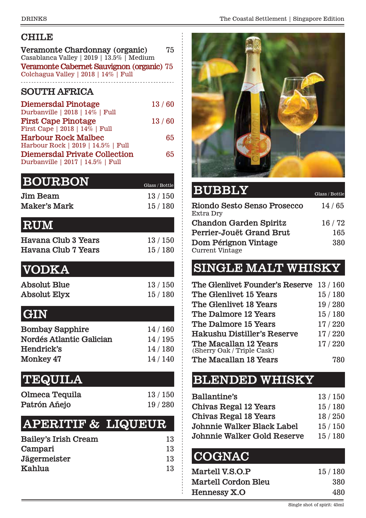### **CHILE**

| Veramonte Chardonnay (organic)<br>Casablanca Valley   2019   13.5%   Medium | 75 |
|-----------------------------------------------------------------------------|----|
| Veramonte Cabernet Sauvignon (organic) 75                                   |    |
| Colchagua Valley   2018   14%   Full                                        |    |
| <b>COUTTLE A DOICA</b>                                                      |    |

#### **SOUTH AFRICA**

| <b>Diemersdal Pinotage</b>           | 13/60 |
|--------------------------------------|-------|
| Durbanville   2018   14%   Full      |       |
| <b>First Cape Pinotage</b>           | 13/60 |
| First Cape   2018   14%   Full       |       |
| <b>Harbour Rock Malbec</b>           | 65    |
| Harbour Rock   2019   14.5%   Full   |       |
| <b>Diemersdal Private Collection</b> | 65    |
| Durbanville   2017   14.5%   Full    |       |

| <b>BOURBON</b>  | Glass / Bottle |
|-----------------|----------------|
| <b>Jim Beam</b> | 13/150         |
| Maker's Mark    | 15/180         |

# **RUM**

| Havana Club 3 Years        | 13/150 |
|----------------------------|--------|
| <b>Havana Club 7 Years</b> | 15/180 |

# **VODKA**

| Absolut Blue | 13/150 |
|--------------|--------|
| Absolut Elyx | 15/180 |

### **GIN**

| <b>Bombay Sapphire</b>   | 14/160 |
|--------------------------|--------|
| Nordés Atlantic Galician | 14/195 |
| Hendrick's               | 14/180 |
| Monkey 47                | 14/140 |

# **TEQUILA**

| Olmeca Tequila | 13/150 |
|----------------|--------|
| Patrón Añejo   | 19/280 |

# **APERITIF & LIQUEUR**

| 13 |
|----|
| 13 |
| 13 |
| 13 |
|    |



### **BUBBLY** Glass / Bottle

| Riondo Sesto Senso Prosecco<br>Extra Dry       | 14/65 |
|------------------------------------------------|-------|
| <b>Chandon Garden Spiritz</b>                  | 16/72 |
| Perrier-Jouët Grand Brut                       | 165   |
| Dom Pérignon Vintage<br><b>Current Vintage</b> | 380   |

# **SINGLE MALT WHISKY**

| The Glenlivet Founder's Reserve 13/160              |        |
|-----------------------------------------------------|--------|
| The Glenlivet 15 Years                              | 15/180 |
| The Glenlivet 18 Years                              | 19/280 |
| The Dalmore 12 Years                                | 15/180 |
| The Dalmore 15 Years                                | 17/220 |
| Hakushu Distiller's Reserve                         | 17/220 |
| The Macallan 12 Years<br>(Sherry Oak / Triple Cask) | 17/220 |
| The Macallan 18 Years                               |        |

# **BLENDED WHISKY**

| Ballantine's                       | 13/150 |
|------------------------------------|--------|
| <b>Chivas Regal 12 Years</b>       | 15/180 |
| <b>Chivas Regal 18 Years</b>       | 18/250 |
| Johnnie Walker Black Label         | 15/150 |
| <b>Johnnie Walker Gold Reserve</b> | 15/180 |

# **COGNAC**

| Martell V.S.O.P            | 15/180 |
|----------------------------|--------|
| <b>Martell Cordon Bleu</b> | 380    |
| Hennessy X.O               | 480    |